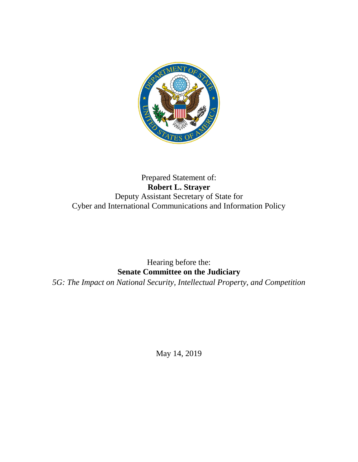

## Prepared Statement of: **Robert L. Strayer** Deputy Assistant Secretary of State for Cyber and International Communications and Information Policy

## Hearing before the: **Senate Committee on the Judiciary**

*5G: The Impact on National Security, Intellectual Property, and Competition*

May 14, 2019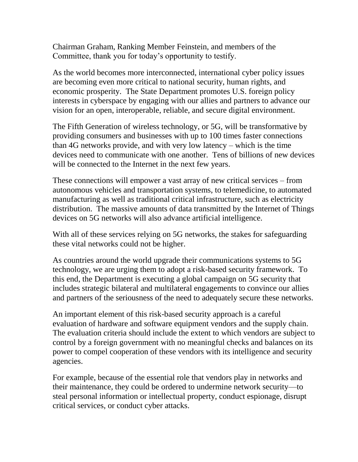Chairman Graham, Ranking Member Feinstein, and members of the Committee, thank you for today's opportunity to testify.

As the world becomes more interconnected, international cyber policy issues are becoming even more critical to national security, human rights, and economic prosperity. The State Department promotes U.S. foreign policy interests in cyberspace by engaging with our allies and partners to advance our vision for an open, interoperable, reliable, and secure digital environment.

The Fifth Generation of wireless technology, or 5G, will be transformative by providing consumers and businesses with up to 100 times faster connections than 4G networks provide, and with very low latency – which is the time devices need to communicate with one another. Tens of billions of new devices will be connected to the Internet in the next few years.

These connections will empower a vast array of new critical services – from autonomous vehicles and transportation systems, to telemedicine, to automated manufacturing as well as traditional critical infrastructure, such as electricity distribution. The massive amounts of data transmitted by the Internet of Things devices on 5G networks will also advance artificial intelligence.

With all of these services relying on 5G networks, the stakes for safeguarding these vital networks could not be higher.

As countries around the world upgrade their communications systems to 5G technology, we are urging them to adopt a risk-based security framework. To this end, the Department is executing a global campaign on 5G security that includes strategic bilateral and multilateral engagements to convince our allies and partners of the seriousness of the need to adequately secure these networks.

An important element of this risk-based security approach is a careful evaluation of hardware and software equipment vendors and the supply chain. The evaluation criteria should include the extent to which vendors are subject to control by a foreign government with no meaningful checks and balances on its power to compel cooperation of these vendors with its intelligence and security agencies.

For example, because of the essential role that vendors play in networks and their maintenance, they could be ordered to undermine network security—to steal personal information or intellectual property, conduct espionage, disrupt critical services, or conduct cyber attacks.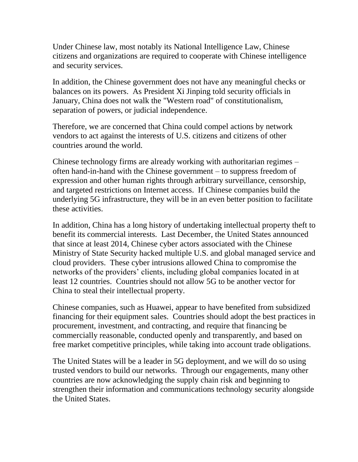Under Chinese law, most notably its National Intelligence Law, Chinese citizens and organizations are required to cooperate with Chinese intelligence and security services.

In addition, the Chinese government does not have any meaningful checks or balances on its powers. As President Xi Jinping told security officials in January, China does not walk the "Western road" of constitutionalism, separation of powers, or judicial independence.

Therefore, we are concerned that China could compel actions by network vendors to act against the interests of U.S. citizens and citizens of other countries around the world.

Chinese technology firms are already working with authoritarian regimes – often hand-in-hand with the Chinese government – to suppress freedom of expression and other human rights through arbitrary surveillance, censorship, and targeted restrictions on Internet access. If Chinese companies build the underlying 5G infrastructure, they will be in an even better position to facilitate these activities.

In addition, China has a long history of undertaking intellectual property theft to benefit its commercial interests. Last December, the United States announced that since at least 2014, Chinese cyber actors associated with the Chinese Ministry of State Security hacked multiple U.S. and global managed service and cloud providers. These cyber intrusions allowed China to compromise the networks of the providers' clients, including global companies located in at least 12 countries. Countries should not allow 5G to be another vector for China to steal their intellectual property.

Chinese companies, such as Huawei, appear to have benefited from subsidized financing for their equipment sales. Countries should adopt the best practices in procurement, investment, and contracting, and require that financing be commercially reasonable, conducted openly and transparently, and based on free market competitive principles, while taking into account trade obligations.

The United States will be a leader in 5G deployment, and we will do so using trusted vendors to build our networks. Through our engagements, many other countries are now acknowledging the supply chain risk and beginning to strengthen their information and communications technology security alongside the United States.